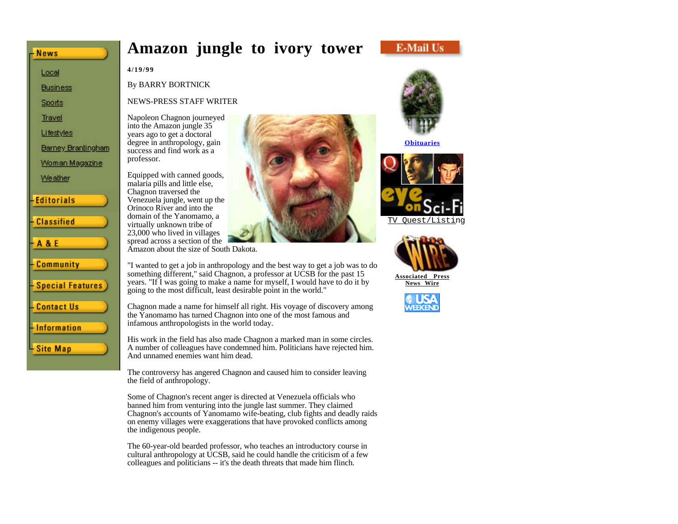# **Amazon jungle to ivory tower**



**4/19/99**

**News** 

Local **Business** Sports **Travel** Lifestyles

Weather

**Editorials** 

**Classified** 

Community

**Contact Us** 

**Information** 

Site Map

**Special Features** 

**A&E** 

Barney Brantingham Woman Magazine

By BARRY BORTNICK

NEWS-PRESS STAFF WRITER

Napoleon Chagnon journeyed into the Amazon jungle 35 years ago to get a doctoral degree in anthropology, gain success and find work as a professor.

Equipped with canned goods, malaria pills and little else, Chagnon traversed the Venezuela jungle, went up the Orinoco River and into the domain of the Yanomamo, a virtually unknown tribe of 23,000 who lived in villages spread across a section of the Amazon about the size of South Dakota.

"I wanted to get a job in anthropology and the best way to get a job was to do something different," said Chagnon, a professor at UCSB for the past 15 years. "If I was going to make a name for myself, I would have to do it by going to the most difficult, least desirable point in the world."

Chagnon made a name for himself all right. His voyage of discovery among the Yanomamo has turned Chagnon into one of the most famous and infamous anthropologists in the world today.

His work in the field has also made Chagnon a marked man in some circles. A number of colleagues have condemned him. Politicians have rejected him. And unnamed enemies want him dead.

The controversy has angered Chagnon and caused him to consider leaving the field of anthropology.

Some of Chagnon's recent anger is directed at Venezuela officials who banned him from venturing into the jungle last summer. They claimed Chagnon's accounts of Yanomamo wife-beating, club fights and deadly raids on enemy villages were exaggerations that have provoked conflicts among the indigenous people.

The 60-year-old bearded professor, who teaches an introductory course in cultural anthropology at UCSB, said he could handle the criticism of a few colleagues and politicians -- it's the death threats that made him flinch.



**Obituaries**



TV Quest/Listing



**Associated Press News Wire**

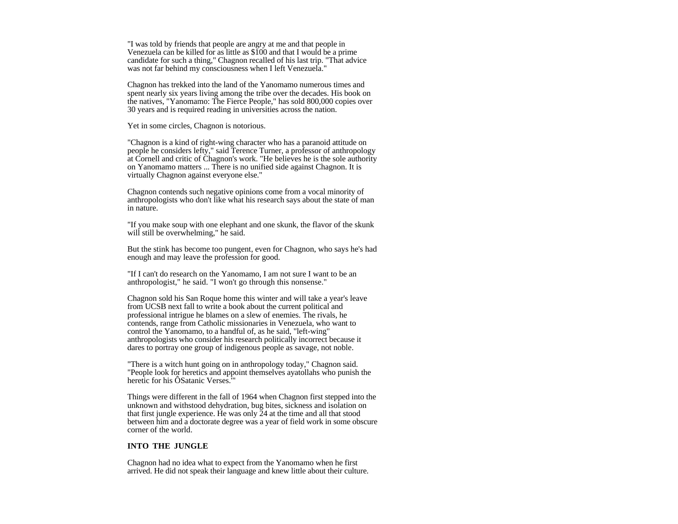"I was told by friends that people are angry at me and that people in Venezuela can be killed for as little as \$100 and that I would be a prime candidate for such a thing," Chagnon recalled of his last trip. "That advice was not far behind my consciousness when I left Venezuela."

Chagnon has trekked into the land of the Yanomamo numerous times and spent nearly six years living among the tribe over the decades. His book on the natives, "Yanomamo: The Fierce People," has sold 800,000 copies over 30 years and is required reading in universities across the nation.

Yet in some circles, Chagnon is notorious.

"Chagnon is a kind of right-wing character who has a paranoid attitude on people he considers lefty," said Terence Turner, a professor of anthropology at Cornell and critic of Chagnon's work. "He believes he is the sole authority on Yanomamo matters ... There is no unified side against Chagnon. It is virtually Chagnon against everyone else."

Chagnon contends such negative opinions come from a vocal minority of anthropologists who don't like what his research says about the state of man in nature.

"If you make soup with one elephant and one skunk, the flavor of the skunk will still be overwhelming," he said.

But the stink has become too pungent, even for Chagnon, who says he's had enough and may leave the profession for good.

"If I can't do research on the Yanomamo, I am not sure I want to be an anthropologist," he said. "I won't go through this nonsense."

Chagnon sold his San Roque home this winter and will take a year's leave from UCSB next fall to write a book about the current political and professional intrigue he blames on a slew of enemies. The rivals, he contends, range from Catholic missionaries in Venezuela, who want to control the Yanomamo, to a handful of, as he said, "left-wing" anthropologists who consider his research politically incorrect because it dares to portray one group of indigenous people as savage, not noble.

"There is a witch hunt going on in anthropology today," Chagnon said. "People look for heretics and appoint themselves ayatollahs who punish the heretic for his ÔSatanic Verses.'"

Things were different in the fall of 1964 when Chagnon first stepped into the unknown and withstood dehydration, bug bites, sickness and isolation on that first jungle experience. He was only 24 at the time and all that stood between him and a doctorate degree was a year of field work in some obscure corner of the world.

# **INTO THE JUNGLE**

Chagnon had no idea what to expect from the Yanomamo when he first arrived. He did not speak their language and knew little about their culture.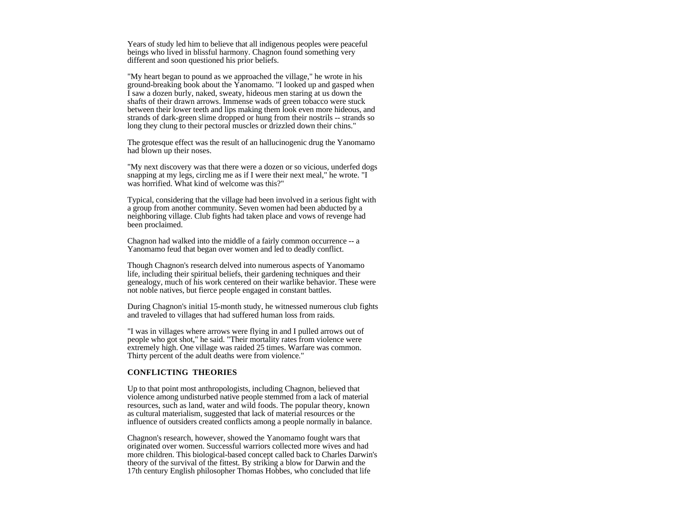Years of study led him to believe that all indigenous peoples were peaceful beings who lived in blissful harmony. Chagnon found something very different and soon questioned his prior beliefs.

"My heart began to pound as we approached the village," he wrote in his ground-breaking book about the Yanomamo. "I looked up and gasped when I saw a dozen burly, naked, sweaty, hideous men staring at us down the shafts of their drawn arrows. Immense wads of green tobacco were stuck between their lower teeth and lips making them look even more hideous, and strands of dark-green slime dropped or hung from their nostrils -- strands so long they clung to their pectoral muscles or drizzled down their chins."

The grotesque effect was the result of an hallucinogenic drug the Yanomamo had blown up their noses.

"My next discovery was that there were a dozen or so vicious, underfed dogs snapping at my legs, circling me as if I were their next meal," he wrote. "I was horrified. What kind of welcome was this?"

Typical, considering that the village had been involved in a serious fight with a group from another community. Seven women had been abducted by a neighboring village. Club fights had taken place and vows of revenge had been proclaimed.

Chagnon had walked into the middle of a fairly common occurrence -- a Yanomamo feud that began over women and led to deadly conflict.

Though Chagnon's research delved into numerous aspects of Yanomamo life, including their spiritual beliefs, their gardening techniques and their genealogy, much of his work centered on their warlike behavior. These were not noble natives, but fierce people engaged in constant battles.

During Chagnon's initial 15-month study, he witnessed numerous club fights and traveled to villages that had suffered human loss from raids.

"I was in villages where arrows were flying in and I pulled arrows out of people who got shot," he said. "Their mortality rates from violence were extremely high. One village was raided 25 times. Warfare was common. Thirty percent of the adult deaths were from violence."

### **CONFLICTING THEORIES**

Up to that point most anthropologists, including Chagnon, believed that violence among undisturbed native people stemmed from a lack of material resources, such as land, water and wild foods. The popular theory, known as cultural materialism, suggested that lack of material resources or the influence of outsiders created conflicts among a people normally in balance.

Chagnon's research, however, showed the Yanomamo fought wars that originated over women. Successful warriors collected more wives and had more children. This biological-based concept called back to Charles Darwin's theory of the survival of the fittest. By striking a blow for Darwin and the 17th century English philosopher Thomas Hobbes, who concluded that life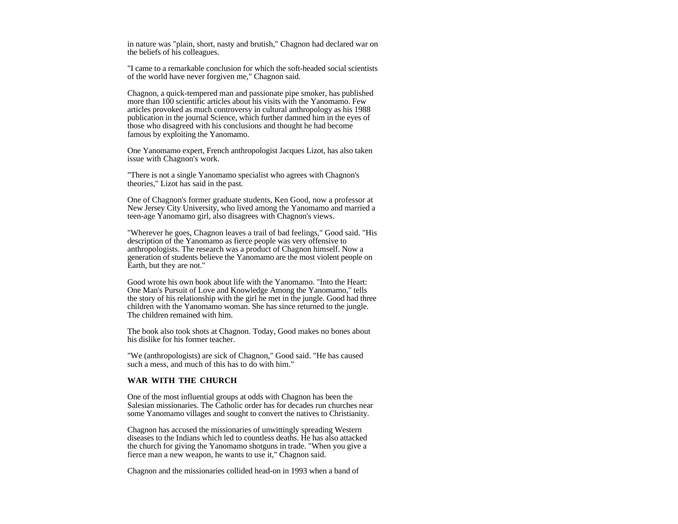in nature was "plain, short, nasty and brutish," Chagnon had declared war on the beliefs of his colleagues.

"I came to a remarkable conclusion for which the soft-headed social scientists of the world have never forgiven me," Chagnon said.

Chagnon, a quick-tempered man and passionate pipe smoker, has published more than 100 scientific articles about his visits with the Yanomamo. Few articles provoked as much controversy in cultural anthropology as his 1988 publication in the journal Science, which further damned him in the eyes of those who disagreed with his conclusions and thought he had become famous by exploiting the Yanomamo.

One Yanomamo expert, French anthropologist Jacques Lizot, has also taken issue with Chagnon's work.

"There is not a single Yanomamo specialist who agrees with Chagnon's theories," Lizot has said in the past.

One of Chagnon's former graduate students, Ken Good, now a professor at New Jersey City University, who lived among the Yanomamo and married a teen-age Yanomamo girl, also disagrees with Chagnon's views.

"Wherever he goes, Chagnon leaves a trail of bad feelings," Good said. "His description of the Yanomamo as fierce people was very offensive to anthropologists. The research was a product of Chagnon himself. Now a generation of students believe the Yanomamo are the most violent people on Earth, but they are not."

Good wrote his own book about life with the Yanomamo. "Into the Heart: One Man's Pursuit of Love and Knowledge Among the Yanomamo," tells the story of his relationship with the girl he met in the jungle. Good had three children with the Yanomamo woman. She has since returned to the jungle. The children remained with him.

The book also took shots at Chagnon. Today, Good makes no bones about his dislike for his former teacher.

"We (anthropologists) are sick of Chagnon," Good said. "He has caused such a mess, and much of this has to do with him."

## **WAR WITH THE CHURCH**

One of the most influential groups at odds with Chagnon has been the Salesian missionaries. The Catholic order has for decades run churches near some Yanomamo villages and sought to convert the natives to Christianity.

Chagnon has accused the missionaries of unwittingly spreading Western diseases to the Indians which led to countless deaths. He has also attacked the church for giving the Yanomamo shotguns in trade. "When you give a fierce man a new weapon, he wants to use it," Chagnon said.

Chagnon and the missionaries collided head-on in 1993 when a band of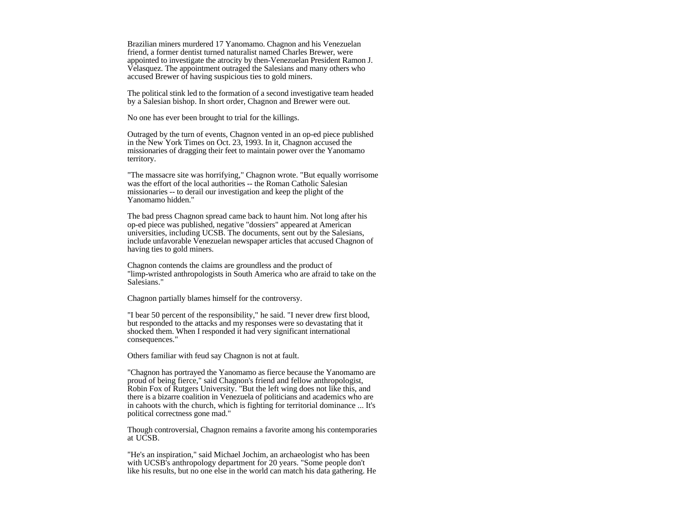Brazilian miners murdered 17 Yanomamo. Chagnon and his Venezuelan friend, a former dentist turned naturalist named Charles Brewer, were appointed to investigate the atrocity by then-Venezuelan President Ramon J. Velasquez. The appointment outraged the Salesians and many others who accused Brewer of having suspicious ties to gold miners.

The political stink led to the formation of a second investigative team headed by a Salesian bishop. In short order, Chagnon and Brewer were out.

No one has ever been brought to trial for the killings.

Outraged by the turn of events, Chagnon vented in an op-ed piece published in the New York Times on Oct. 23, 1993. In it, Chagnon accused the missionaries of dragging their feet to maintain power over the Yanomamo territory.

"The massacre site was horrifying," Chagnon wrote. "But equally worrisome was the effort of the local authorities -- the Roman Catholic Salesian missionaries -- to derail our investigation and keep the plight of the Yanomamo hidden."

The bad press Chagnon spread came back to haunt him. Not long after his op-ed piece was published, negative "dossiers" appeared at American universities, including UCSB. The documents, sent out by the Salesians, include unfavorable Venezuelan newspaper articles that accused Chagnon of having ties to gold miners.

Chagnon contends the claims are groundless and the product of "limp-wristed anthropologists in South America who are afraid to take on the Salesians."

Chagnon partially blames himself for the controversy.

"I bear 50 percent of the responsibility," he said. "I never drew first blood, but responded to the attacks and my responses were so devastating that it shocked them. When I responded it had very significant international consequences."

Others familiar with feud say Chagnon is not at fault.

"Chagnon has portrayed the Yanomamo as fierce because the Yanomamo are proud of being fierce," said Chagnon's friend and fellow anthropologist, Robin Fox of Rutgers University. "But the left wing does not like this, and there is a bizarre coalition in Venezuela of politicians and academics who are in cahoots with the church, which is fighting for territorial dominance ... It's political correctness gone mad."

Though controversial, Chagnon remains a favorite among his contemporaries at UCSB.

"He's an inspiration," said Michael Jochim, an archaeologist who has been with UCSB's anthropology department for 20 years. "Some people don't like his results, but no one else in the world can match his data gathering. He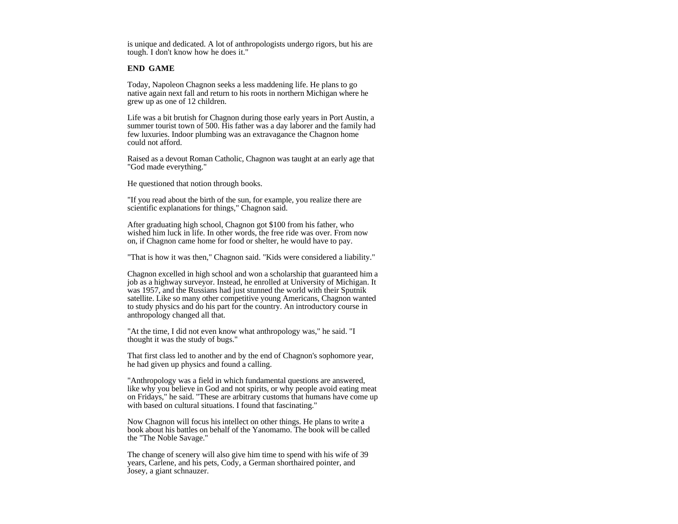is unique and dedicated. A lot of anthropologists undergo rigors, but his are tough. I don't know how he does it."

#### **END GAME**

Today, Napoleon Chagnon seeks a less maddening life. He plans to go native again next fall and return to his roots in northern Michigan where he grew up as one of 12 children.

Life was a bit brutish for Chagnon during those early years in Port Austin, a summer tourist town of 500. His father was a day laborer and the family had few luxuries. Indoor plumbing was an extravagance the Chagnon home could not afford.

Raised as a devout Roman Catholic, Chagnon was taught at an early age that "God made everything."

He questioned that notion through books.

"If you read about the birth of the sun, for example, you realize there are scientific explanations for things," Chagnon said.

After graduating high school, Chagnon got \$100 from his father, who wished him luck in life. In other words, the free ride was over. From now on, if Chagnon came home for food or shelter, he would have to pay.

"That is how it was then," Chagnon said. "Kids were considered a liability."

Chagnon excelled in high school and won a scholarship that guaranteed him a job as a highway surveyor. Instead, he enrolled at University of Michigan. It was 1957, and the Russians had just stunned the world with their Sputnik satellite. Like so many other competitive young Americans, Chagnon wanted to study physics and do his part for the country. An introductory course in anthropology changed all that.

"At the time, I did not even know what anthropology was," he said. "I thought it was the study of bugs."

That first class led to another and by the end of Chagnon's sophomore year, he had given up physics and found a calling.

"Anthropology was a field in which fundamental questions are answered, like why you believe in God and not spirits, or why people avoid eating meat on Fridays," he said. "These are arbitrary customs that humans have come up with based on cultural situations. I found that fascinating."

Now Chagnon will focus his intellect on other things. He plans to write a book about his battles on behalf of the Yanomamo. The book will be called the "The Noble Savage."

The change of scenery will also give him time to spend with his wife of 39 years, Carlene, and his pets, Cody, a German shorthaired pointer, and Josey, a giant schnauzer.